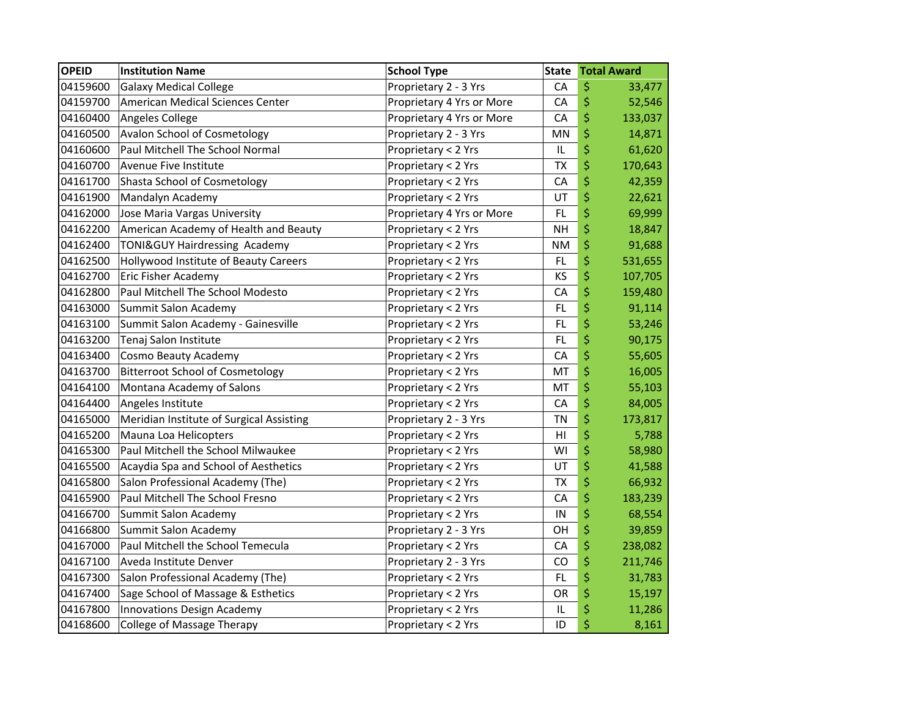| <b>OPEID</b> | <b>Institution Name</b>                  | <b>School Type</b>        | <b>State</b>   | <b>Total Award</b> |
|--------------|------------------------------------------|---------------------------|----------------|--------------------|
| 04159600     | <b>Galaxy Medical College</b>            | Proprietary 2 - 3 Yrs     | CA             | \$<br>33,477       |
| 04159700     | American Medical Sciences Center         | Proprietary 4 Yrs or More | CA             | \$<br>52,546       |
| 04160400     | Angeles College                          | Proprietary 4 Yrs or More | CA             | \$<br>133,037      |
| 04160500     | <b>Avalon School of Cosmetology</b>      | Proprietary 2 - 3 Yrs     | MN             | \$<br>14,871       |
| 04160600     | Paul Mitchell The School Normal          | Proprietary < 2 Yrs       | IL             | \$<br>61,620       |
| 04160700     | Avenue Five Institute                    | Proprietary < 2 Yrs       | <b>TX</b>      | \$<br>170,643      |
| 04161700     | <b>Shasta School of Cosmetology</b>      | Proprietary < 2 Yrs       | CA             | \$<br>42,359       |
| 04161900     | Mandalyn Academy                         | Proprietary < 2 Yrs       | UT             | \$<br>22,621       |
| 04162000     | Jose Maria Vargas University             | Proprietary 4 Yrs or More | FL             | \$<br>69,999       |
| 04162200     | American Academy of Health and Beauty    | Proprietary < 2 Yrs       | <b>NH</b>      | \$<br>18,847       |
| 04162400     | TONI&GUY Hairdressing Academy            | Proprietary < 2 Yrs       | <b>NM</b>      | \$<br>91,688       |
| 04162500     | Hollywood Institute of Beauty Careers    | Proprietary < 2 Yrs       | FL             | \$<br>531,655      |
| 04162700     | Eric Fisher Academy                      | Proprietary < 2 Yrs       | KS             | \$<br>107,705      |
| 04162800     | Paul Mitchell The School Modesto         | Proprietary < 2 Yrs       | CA             | \$<br>159,480      |
| 04163000     | Summit Salon Academy                     | Proprietary < 2 Yrs       | FL             | \$<br>91,114       |
| 04163100     | Summit Salon Academy - Gainesville       | Proprietary < 2 Yrs       | FL.            | \$<br>53,246       |
| 04163200     | Tenaj Salon Institute                    | Proprietary < 2 Yrs       | <b>FL</b>      | \$<br>90,175       |
| 04163400     | Cosmo Beauty Academy                     | Proprietary < 2 Yrs       | CA             | \$<br>55,605       |
| 04163700     | <b>Bitterroot School of Cosmetology</b>  | Proprietary < 2 Yrs       | MT             | \$<br>16,005       |
| 04164100     | Montana Academy of Salons                | Proprietary < 2 Yrs       | MT             | \$<br>55,103       |
| 04164400     | Angeles Institute                        | Proprietary < 2 Yrs       | CA             | \$<br>84,005       |
| 04165000     | Meridian Institute of Surgical Assisting | Proprietary 2 - 3 Yrs     | <b>TN</b>      | \$<br>173,817      |
| 04165200     | Mauna Loa Helicopters                    | Proprietary < 2 Yrs       | H <sub>l</sub> | \$<br>5,788        |
| 04165300     | Paul Mitchell the School Milwaukee       | Proprietary < 2 Yrs       | WI             | \$<br>58,980       |
| 04165500     | Acaydia Spa and School of Aesthetics     | Proprietary < 2 Yrs       | UT             | \$<br>41,588       |
| 04165800     | Salon Professional Academy (The)         | Proprietary < 2 Yrs       | TX             | \$<br>66,932       |
| 04165900     | Paul Mitchell The School Fresno          | Proprietary < 2 Yrs       | CA             | \$<br>183,239      |
| 04166700     | Summit Salon Academy                     | Proprietary < 2 Yrs       | IN             | \$<br>68,554       |
| 04166800     | Summit Salon Academy                     | Proprietary 2 - 3 Yrs     | OH             | \$<br>39,859       |
| 04167000     | Paul Mitchell the School Temecula        | Proprietary < 2 Yrs       | CA             | \$<br>238,082      |
| 04167100     | Aveda Institute Denver                   | Proprietary 2 - 3 Yrs     | CO             | \$<br>211,746      |
| 04167300     | Salon Professional Academy (The)         | Proprietary < 2 Yrs       | FL             | \$<br>31,783       |
| 04167400     | Sage School of Massage & Esthetics       | Proprietary < 2 Yrs       | OR             | \$<br>15,197       |
| 04167800     | Innovations Design Academy               | Proprietary < 2 Yrs       | IL             | \$<br>11,286       |
| 04168600     | College of Massage Therapy               | Proprietary < 2 Yrs       | ID             | \$<br>8,161        |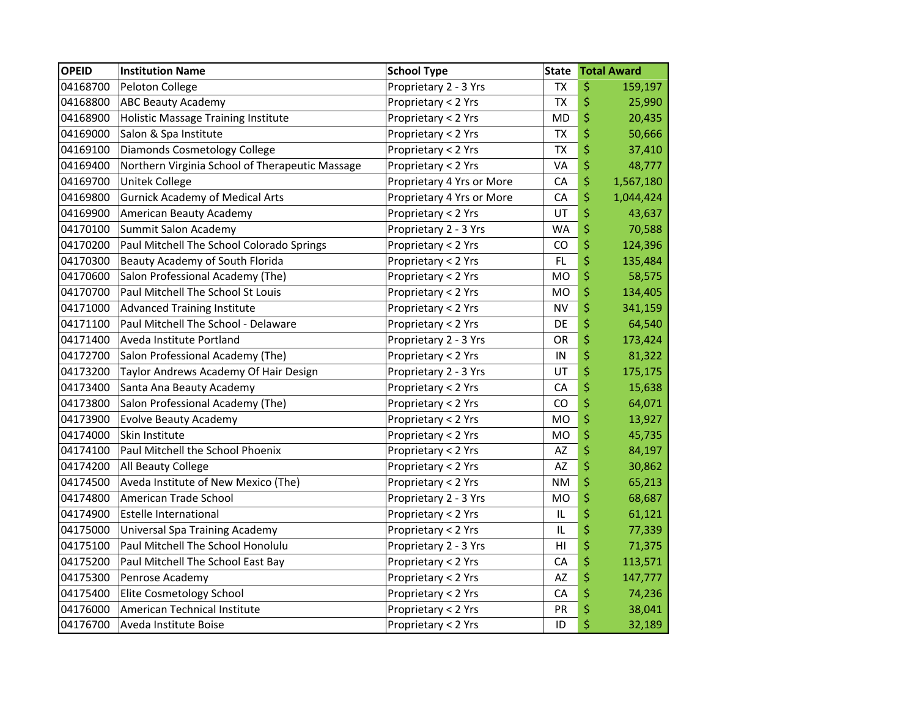| <b>OPEID</b> | <b>Institution Name</b>                         | <b>School Type</b>        | <b>State</b> | <b>Total Award</b> |
|--------------|-------------------------------------------------|---------------------------|--------------|--------------------|
| 04168700     | Peloton College                                 | Proprietary 2 - 3 Yrs     | <b>TX</b>    | \$<br>159,197      |
| 04168800     | <b>ABC Beauty Academy</b>                       | Proprietary < 2 Yrs       | <b>TX</b>    | \$<br>25,990       |
| 04168900     | <b>Holistic Massage Training Institute</b>      | Proprietary < 2 Yrs       | <b>MD</b>    | \$<br>20,435       |
| 04169000     | Salon & Spa Institute                           | Proprietary < 2 Yrs       | <b>TX</b>    | \$<br>50,666       |
| 04169100     | Diamonds Cosmetology College                    | Proprietary < 2 Yrs       | <b>TX</b>    | \$<br>37,410       |
| 04169400     | Northern Virginia School of Therapeutic Massage | Proprietary < 2 Yrs       | VA           | \$<br>48,777       |
| 04169700     | Unitek College                                  | Proprietary 4 Yrs or More | CA           | \$<br>1,567,180    |
| 04169800     | <b>Gurnick Academy of Medical Arts</b>          | Proprietary 4 Yrs or More | CA           | \$<br>1,044,424    |
| 04169900     | American Beauty Academy                         | Proprietary < 2 Yrs       | UT           | \$<br>43,637       |
| 04170100     | Summit Salon Academy                            | Proprietary 2 - 3 Yrs     | WA           | \$<br>70,588       |
| 04170200     | Paul Mitchell The School Colorado Springs       | Proprietary < 2 Yrs       | CO           | \$<br>124,396      |
| 04170300     | Beauty Academy of South Florida                 | Proprietary < 2 Yrs       | FL           | \$<br>135,484      |
| 04170600     | Salon Professional Academy (The)                | Proprietary < 2 Yrs       | <b>MO</b>    | \$<br>58,575       |
| 04170700     | Paul Mitchell The School St Louis               | Proprietary < 2 Yrs       | <b>MO</b>    | \$<br>134,405      |
| 04171000     | <b>Advanced Training Institute</b>              | Proprietary < 2 Yrs       | <b>NV</b>    | \$<br>341,159      |
| 04171100     | Paul Mitchell The School - Delaware             | Proprietary < 2 Yrs       | DE           | \$<br>64,540       |
| 04171400     | Aveda Institute Portland                        | Proprietary 2 - 3 Yrs     | OR           | \$<br>173,424      |
| 04172700     | Salon Professional Academy (The)                | Proprietary < 2 Yrs       | IN           | \$<br>81,322       |
| 04173200     | Taylor Andrews Academy Of Hair Design           | Proprietary 2 - 3 Yrs     | UT           | \$<br>175,175      |
| 04173400     | Santa Ana Beauty Academy                        | Proprietary < 2 Yrs       | CA           | \$<br>15,638       |
| 04173800     | Salon Professional Academy (The)                | Proprietary < 2 Yrs       | CO           | \$<br>64,071       |
| 04173900     | <b>Evolve Beauty Academy</b>                    | Proprietary < 2 Yrs       | MO           | \$<br>13,927       |
| 04174000     | Skin Institute                                  | Proprietary < 2 Yrs       | МO           | \$<br>45,735       |
| 04174100     | Paul Mitchell the School Phoenix                | Proprietary < 2 Yrs       | AZ           | \$<br>84,197       |
| 04174200     | All Beauty College                              | Proprietary < 2 Yrs       | AZ           | \$<br>30,862       |
| 04174500     | Aveda Institute of New Mexico (The)             | Proprietary < 2 Yrs       | NM           | \$<br>65,213       |
| 04174800     | American Trade School                           | Proprietary 2 - 3 Yrs     | <b>MO</b>    | \$<br>68,687       |
| 04174900     | <b>Estelle International</b>                    | Proprietary < 2 Yrs       | IL           | \$<br>61,121       |
| 04175000     | Universal Spa Training Academy                  | Proprietary < 2 Yrs       | IL           | \$<br>77,339       |
| 04175100     | Paul Mitchell The School Honolulu               | Proprietary 2 - 3 Yrs     | HI           | \$<br>71,375       |
| 04175200     | Paul Mitchell The School East Bay               | Proprietary < 2 Yrs       | CA           | \$<br>113,571      |
| 04175300     | Penrose Academy                                 | Proprietary < 2 Yrs       | AZ           | \$<br>147,777      |
| 04175400     | Elite Cosmetology School                        | Proprietary < 2 Yrs       | CA           | \$<br>74,236       |
| 04176000     | American Technical Institute                    | Proprietary < 2 Yrs       | PR           | \$<br>38,041       |
| 04176700     | Aveda Institute Boise                           | Proprietary < 2 Yrs       | ID           | \$<br>32,189       |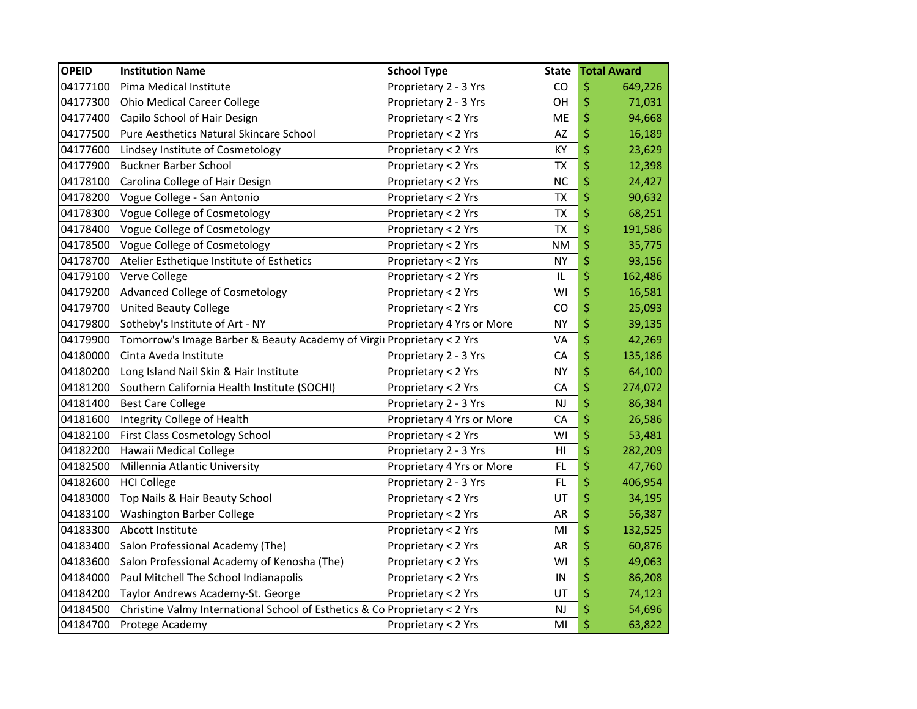| <b>OPEID</b> | <b>Institution Name</b>                                                    | <b>School Type</b>        | <b>State</b> | <b>Total Award</b> |
|--------------|----------------------------------------------------------------------------|---------------------------|--------------|--------------------|
| 04177100     | Pima Medical Institute                                                     | Proprietary 2 - 3 Yrs     | CO           | \$<br>649,226      |
| 04177300     | <b>Ohio Medical Career College</b>                                         | Proprietary 2 - 3 Yrs     | OH           | \$<br>71,031       |
| 04177400     | Capilo School of Hair Design                                               | Proprietary < 2 Yrs       | ME           | \$<br>94,668       |
| 04177500     | Pure Aesthetics Natural Skincare School                                    | Proprietary < 2 Yrs       | AZ           | \$<br>16,189       |
| 04177600     | Lindsey Institute of Cosmetology                                           | Proprietary < 2 Yrs       | KY           | \$<br>23,629       |
| 04177900     | <b>Buckner Barber School</b>                                               | Proprietary < 2 Yrs       | <b>TX</b>    | \$<br>12,398       |
| 04178100     | Carolina College of Hair Design                                            | Proprietary < 2 Yrs       | <b>NC</b>    | \$<br>24,427       |
| 04178200     | Vogue College - San Antonio                                                | Proprietary < 2 Yrs       | <b>TX</b>    | \$<br>90,632       |
| 04178300     | Vogue College of Cosmetology                                               | Proprietary < 2 Yrs       | <b>TX</b>    | \$<br>68,251       |
| 04178400     | Vogue College of Cosmetology                                               | Proprietary < 2 Yrs       | <b>TX</b>    | \$<br>191,586      |
| 04178500     | Vogue College of Cosmetology                                               | Proprietary < 2 Yrs       | <b>NM</b>    | \$<br>35,775       |
| 04178700     | Atelier Esthetique Institute of Esthetics                                  | Proprietary < 2 Yrs       | ΝY           | \$<br>93,156       |
| 04179100     | Verve College                                                              | Proprietary < 2 Yrs       | IL           | \$<br>162,486      |
| 04179200     | Advanced College of Cosmetology                                            | Proprietary < 2 Yrs       | WI           | \$<br>16,581       |
| 04179700     | <b>United Beauty College</b>                                               | Proprietary < 2 Yrs       | CO           | \$<br>25,093       |
| 04179800     | Sotheby's Institute of Art - NY                                            | Proprietary 4 Yrs or More | <b>NY</b>    | \$<br>39,135       |
| 04179900     | Tomorrow's Image Barber & Beauty Academy of Virgir Proprietary < 2 Yrs     |                           | VA           | \$<br>42,269       |
| 04180000     | Cinta Aveda Institute                                                      | Proprietary 2 - 3 Yrs     | CA           | \$<br>135,186      |
| 04180200     | Long Island Nail Skin & Hair Institute                                     | Proprietary < 2 Yrs       | <b>NY</b>    | \$<br>64,100       |
| 04181200     | Southern California Health Institute (SOCHI)                               | Proprietary < 2 Yrs       | CA           | \$<br>274,072      |
| 04181400     | <b>Best Care College</b>                                                   | Proprietary 2 - 3 Yrs     | <b>NJ</b>    | \$<br>86,384       |
| 04181600     | Integrity College of Health                                                | Proprietary 4 Yrs or More | CA           | \$<br>26,586       |
| 04182100     | First Class Cosmetology School                                             | Proprietary < 2 Yrs       | WI           | \$<br>53,481       |
| 04182200     | Hawaii Medical College                                                     | Proprietary 2 - 3 Yrs     | HI           | \$<br>282,209      |
| 04182500     | Millennia Atlantic University                                              | Proprietary 4 Yrs or More | <b>FL</b>    | \$<br>47,760       |
| 04182600     | <b>HCI College</b>                                                         | Proprietary 2 - 3 Yrs     | FL           | \$<br>406,954      |
| 04183000     | Top Nails & Hair Beauty School                                             | Proprietary < 2 Yrs       | UT           | \$<br>34,195       |
| 04183100     | Washington Barber College                                                  | Proprietary < 2 Yrs       | AR           | \$<br>56,387       |
| 04183300     | Abcott Institute                                                           | Proprietary < 2 Yrs       | MI           | \$<br>132,525      |
| 04183400     | Salon Professional Academy (The)                                           | Proprietary < 2 Yrs       | AR           | \$<br>60,876       |
| 04183600     | Salon Professional Academy of Kenosha (The)                                | Proprietary < 2 Yrs       | WI           | \$<br>49,063       |
| 04184000     | Paul Mitchell The School Indianapolis                                      | Proprietary < 2 Yrs       | IN           | \$<br>86,208       |
| 04184200     | Taylor Andrews Academy-St. George                                          | Proprietary < 2 Yrs       | UT           | \$<br>74,123       |
| 04184500     | Christine Valmy International School of Esthetics & Co Proprietary < 2 Yrs |                           | <b>NJ</b>    | \$<br>54,696       |
| 04184700     | Protege Academy                                                            | Proprietary < 2 Yrs       | MI           | \$<br>63,822       |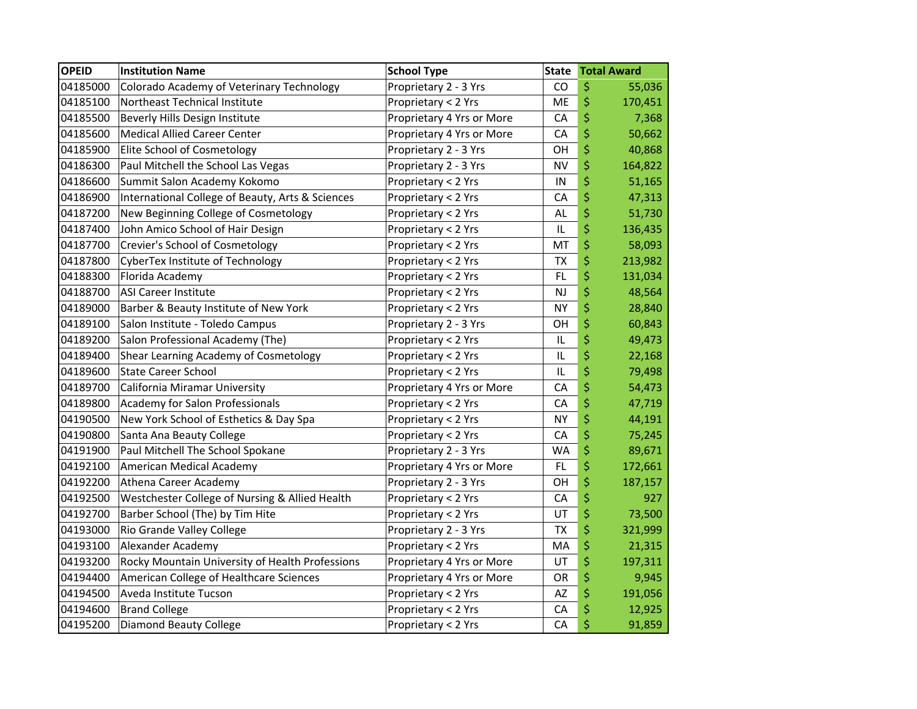| <b>OPEID</b> | <b>Institution Name</b>                          | <b>School Type</b>        | <b>State</b> | <b>Total Award</b> |
|--------------|--------------------------------------------------|---------------------------|--------------|--------------------|
| 04185000     | Colorado Academy of Veterinary Technology        | Proprietary 2 - 3 Yrs     | CO           | \$<br>55,036       |
| 04185100     | Northeast Technical Institute                    | Proprietary < 2 Yrs       | ME           | \$<br>170,451      |
| 04185500     | Beverly Hills Design Institute                   | Proprietary 4 Yrs or More | CA           | \$<br>7,368        |
| 04185600     | <b>Medical Allied Career Center</b>              | Proprietary 4 Yrs or More | CA           | \$<br>50,662       |
| 04185900     | Elite School of Cosmetology                      | Proprietary 2 - 3 Yrs     | OΗ           | \$<br>40,868       |
| 04186300     | Paul Mitchell the School Las Vegas               | Proprietary 2 - 3 Yrs     | <b>NV</b>    | \$<br>164,822      |
| 04186600     | Summit Salon Academy Kokomo                      | Proprietary < 2 Yrs       | IN           | \$<br>51,165       |
| 04186900     | International College of Beauty, Arts & Sciences | Proprietary < 2 Yrs       | CA           | \$<br>47,313       |
| 04187200     | New Beginning College of Cosmetology             | Proprietary < 2 Yrs       | AL           | \$<br>51,730       |
| 04187400     | John Amico School of Hair Design                 | Proprietary < 2 Yrs       | IL           | \$<br>136,435      |
| 04187700     | Crevier's School of Cosmetology                  | Proprietary < 2 Yrs       | MT           | \$<br>58,093       |
| 04187800     | CyberTex Institute of Technology                 | Proprietary < 2 Yrs       | <b>TX</b>    | \$<br>213,982      |
| 04188300     | Florida Academy                                  | Proprietary < 2 Yrs       | FL.          | \$<br>131,034      |
| 04188700     | <b>ASI Career Institute</b>                      | Proprietary < 2 Yrs       | <b>NJ</b>    | \$<br>48,564       |
| 04189000     | Barber & Beauty Institute of New York            | Proprietary < 2 Yrs       | <b>NY</b>    | \$<br>28,840       |
| 04189100     | Salon Institute - Toledo Campus                  | Proprietary 2 - 3 Yrs     | OH           | \$<br>60,843       |
| 04189200     | Salon Professional Academy (The)                 | Proprietary < 2 Yrs       | IL           | \$<br>49,473       |
| 04189400     | Shear Learning Academy of Cosmetology            | Proprietary < 2 Yrs       | IL           | \$<br>22,168       |
| 04189600     | <b>State Career School</b>                       | Proprietary < 2 Yrs       | IL           | \$<br>79,498       |
| 04189700     | California Miramar University                    | Proprietary 4 Yrs or More | CA           | \$<br>54,473       |
| 04189800     | <b>Academy for Salon Professionals</b>           | Proprietary < 2 Yrs       | CA           | \$<br>47,719       |
| 04190500     | New York School of Esthetics & Day Spa           | Proprietary < 2 Yrs       | <b>NY</b>    | \$<br>44,191       |
| 04190800     | Santa Ana Beauty College                         | Proprietary < 2 Yrs       | CA           | \$<br>75,245       |
| 04191900     | Paul Mitchell The School Spokane                 | Proprietary 2 - 3 Yrs     | <b>WA</b>    | \$<br>89,671       |
| 04192100     | American Medical Academy                         | Proprietary 4 Yrs or More | FL.          | \$<br>172,661      |
| 04192200     | Athena Career Academy                            | Proprietary 2 - 3 Yrs     | OН           | \$<br>187,157      |
| 04192500     | Westchester College of Nursing & Allied Health   | Proprietary < 2 Yrs       | СA           | \$<br>927          |
| 04192700     | Barber School (The) by Tim Hite                  | Proprietary < 2 Yrs       | UT           | \$<br>73,500       |
| 04193000     | Rio Grande Valley College                        | Proprietary 2 - 3 Yrs     | <b>TX</b>    | \$<br>321,999      |
| 04193100     | Alexander Academy                                | Proprietary < 2 Yrs       | MA           | \$<br>21,315       |
| 04193200     | Rocky Mountain University of Health Professions  | Proprietary 4 Yrs or More | UT           | \$<br>197,311      |
| 04194400     | American College of Healthcare Sciences          | Proprietary 4 Yrs or More | OR           | \$<br>9,945        |
| 04194500     | Aveda Institute Tucson                           | Proprietary < 2 Yrs       | AZ           | \$<br>191,056      |
| 04194600     | <b>Brand College</b>                             | Proprietary < 2 Yrs       | CA           | \$<br>12,925       |
| 04195200     | Diamond Beauty College                           | Proprietary < 2 Yrs       | CA           | \$<br>91,859       |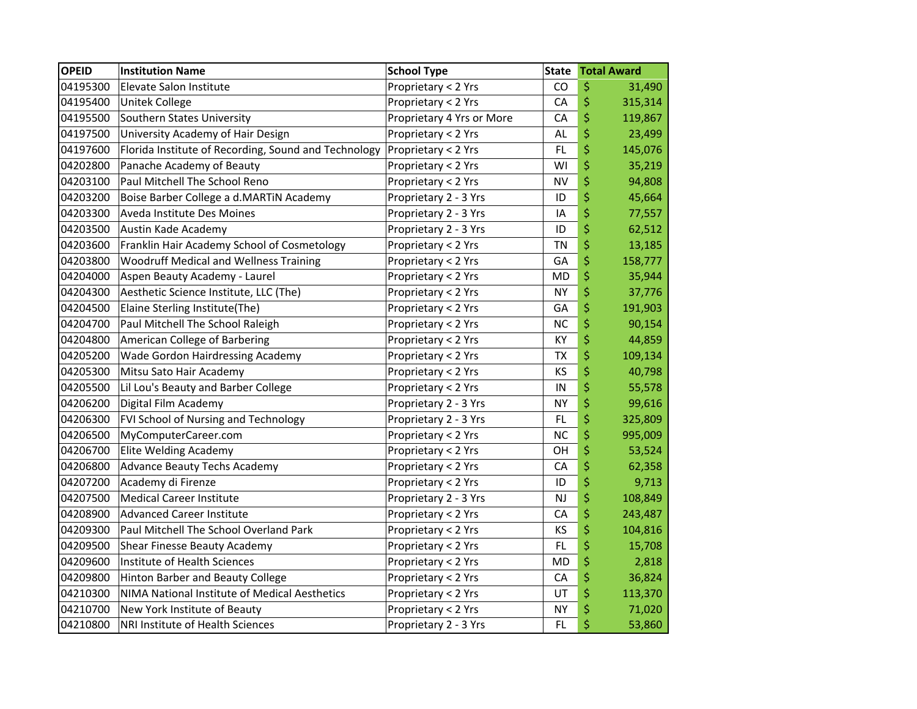| <b>OPEID</b> | <b>Institution Name</b>                              | <b>School Type</b>        | <b>State</b> | <b>Total Award</b> |
|--------------|------------------------------------------------------|---------------------------|--------------|--------------------|
| 04195300     | Elevate Salon Institute                              | Proprietary < 2 Yrs       | CO           | \$<br>31,490       |
| 04195400     | Unitek College                                       | Proprietary < 2 Yrs       | CA           | \$<br>315,314      |
| 04195500     | Southern States University                           | Proprietary 4 Yrs or More | CA           | \$<br>119,867      |
| 04197500     | University Academy of Hair Design                    | Proprietary < 2 Yrs       | AL           | \$<br>23,499       |
| 04197600     | Florida Institute of Recording, Sound and Technology | Proprietary < 2 Yrs       | FL.          | \$<br>145,076      |
| 04202800     | Panache Academy of Beauty                            | Proprietary < 2 Yrs       | WI           | \$<br>35,219       |
| 04203100     | Paul Mitchell The School Reno                        | Proprietary < 2 Yrs       | <b>NV</b>    | \$<br>94,808       |
| 04203200     | Boise Barber College a d.MARTIN Academy              | Proprietary 2 - 3 Yrs     | ID           | \$<br>45,664       |
| 04203300     | Aveda Institute Des Moines                           | Proprietary 2 - 3 Yrs     | IA           | \$<br>77,557       |
| 04203500     | Austin Kade Academy                                  | Proprietary 2 - 3 Yrs     | ID           | \$<br>62,512       |
| 04203600     | Franklin Hair Academy School of Cosmetology          | Proprietary < 2 Yrs       | <b>TN</b>    | \$<br>13,185       |
| 04203800     | <b>Woodruff Medical and Wellness Training</b>        | Proprietary < 2 Yrs       | GA           | \$<br>158,777      |
| 04204000     | Aspen Beauty Academy - Laurel                        | Proprietary < 2 Yrs       | <b>MD</b>    | \$<br>35,944       |
| 04204300     | Aesthetic Science Institute, LLC (The)               | Proprietary < 2 Yrs       | <b>NY</b>    | \$<br>37,776       |
| 04204500     | Elaine Sterling Institute(The)                       | Proprietary < 2 Yrs       | GA           | \$<br>191,903      |
| 04204700     | Paul Mitchell The School Raleigh                     | Proprietary < 2 Yrs       | <b>NC</b>    | \$<br>90,154       |
| 04204800     | American College of Barbering                        | Proprietary < 2 Yrs       | KY           | \$<br>44,859       |
| 04205200     | Wade Gordon Hairdressing Academy                     | Proprietary < 2 Yrs       | <b>ΤΧ</b>    | \$<br>109,134      |
| 04205300     | Mitsu Sato Hair Academy                              | Proprietary < 2 Yrs       | KS           | \$<br>40,798       |
| 04205500     | Lil Lou's Beauty and Barber College                  | Proprietary < 2 Yrs       | IN           | \$<br>55,578       |
| 04206200     | Digital Film Academy                                 | Proprietary 2 - 3 Yrs     | <b>NY</b>    | \$<br>99,616       |
| 04206300     | FVI School of Nursing and Technology                 | Proprietary 2 - 3 Yrs     | FL           | \$<br>325,809      |
| 04206500     | MyComputerCareer.com                                 | Proprietary < 2 Yrs       | <b>NC</b>    | \$<br>995,009      |
| 04206700     | Elite Welding Academy                                | Proprietary < 2 Yrs       | OH           | \$<br>53,524       |
| 04206800     | <b>Advance Beauty Techs Academy</b>                  | Proprietary < 2 Yrs       | CA           | \$<br>62,358       |
| 04207200     | Academy di Firenze                                   | Proprietary < 2 Yrs       | ID           | \$<br>9,713        |
| 04207500     | <b>Medical Career Institute</b>                      | Proprietary 2 - 3 Yrs     | <b>NJ</b>    | \$<br>108,849      |
| 04208900     | <b>Advanced Career Institute</b>                     | Proprietary < 2 Yrs       | CA           | \$<br>243,487      |
| 04209300     | Paul Mitchell The School Overland Park               | Proprietary < 2 Yrs       | KS           | \$<br>104,816      |
| 04209500     | Shear Finesse Beauty Academy                         | Proprietary < 2 Yrs       | FL.          | \$<br>15,708       |
| 04209600     | Institute of Health Sciences                         | Proprietary < 2 Yrs       | <b>MD</b>    | \$<br>2,818        |
| 04209800     | Hinton Barber and Beauty College                     | Proprietary < 2 Yrs       | CA           | \$<br>36,824       |
| 04210300     | NIMA National Institute of Medical Aesthetics        | Proprietary < 2 Yrs       | UT           | \$<br>113,370      |
| 04210700     | New York Institute of Beauty                         | Proprietary < 2 Yrs       | <b>NY</b>    | \$<br>71,020       |
| 04210800     | NRI Institute of Health Sciences                     | Proprietary 2 - 3 Yrs     | FL           | \$<br>53,860       |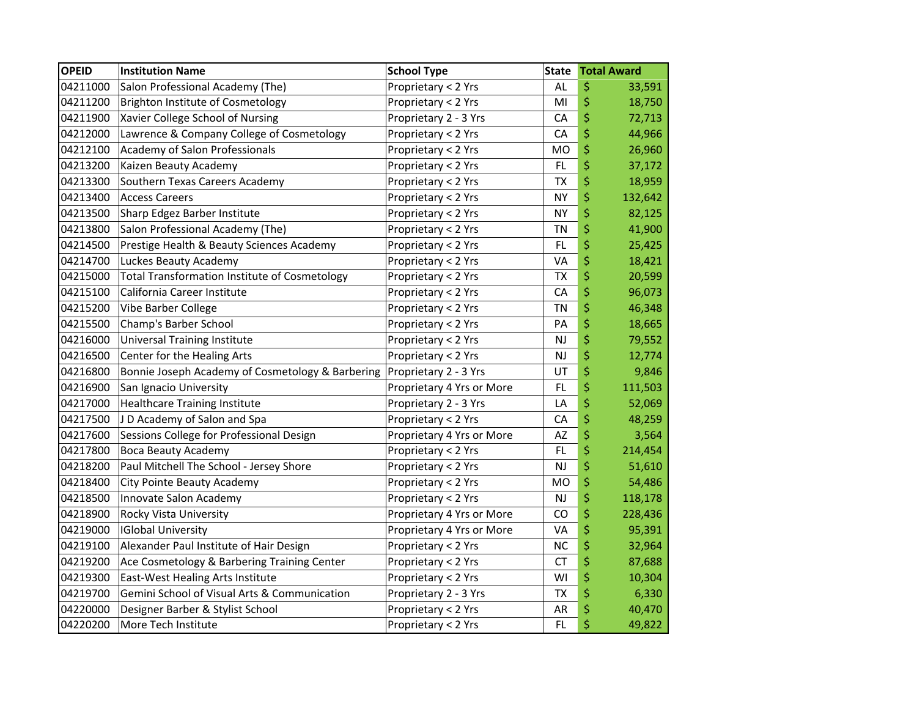| <b>OPEID</b> | <b>Institution Name</b>                              | <b>School Type</b>        | <b>State</b> | <b>Total Award</b> |
|--------------|------------------------------------------------------|---------------------------|--------------|--------------------|
| 04211000     | Salon Professional Academy (The)                     | Proprietary < 2 Yrs       | <b>AL</b>    | \$<br>33,591       |
| 04211200     | Brighton Institute of Cosmetology                    | Proprietary < 2 Yrs       | MI           | \$<br>18,750       |
| 04211900     | Xavier College School of Nursing                     | Proprietary 2 - 3 Yrs     | CA           | \$<br>72,713       |
| 04212000     | Lawrence & Company College of Cosmetology            | Proprietary < 2 Yrs       | CA           | \$<br>44,966       |
| 04212100     | Academy of Salon Professionals                       | Proprietary < 2 Yrs       | MO           | \$<br>26,960       |
| 04213200     | Kaizen Beauty Academy                                | Proprietary < 2 Yrs       | <b>FL</b>    | \$<br>37,172       |
| 04213300     | Southern Texas Careers Academy                       | Proprietary < 2 Yrs       | <b>TX</b>    | \$<br>18,959       |
| 04213400     | <b>Access Careers</b>                                | Proprietary < 2 Yrs       | <b>NY</b>    | \$<br>132,642      |
| 04213500     | Sharp Edgez Barber Institute                         | Proprietary < 2 Yrs       | <b>NY</b>    | \$<br>82,125       |
| 04213800     | Salon Professional Academy (The)                     | Proprietary < 2 Yrs       | ΤN           | \$<br>41,900       |
| 04214500     | Prestige Health & Beauty Sciences Academy            | Proprietary < 2 Yrs       | <b>FL</b>    | \$<br>25,425       |
| 04214700     | Luckes Beauty Academy                                | Proprietary < 2 Yrs       | VA           | \$<br>18,421       |
| 04215000     | <b>Total Transformation Institute of Cosmetology</b> | Proprietary < 2 Yrs       | <b>TX</b>    | \$<br>20,599       |
| 04215100     | California Career Institute                          | Proprietary < 2 Yrs       | CA           | \$<br>96,073       |
| 04215200     | Vibe Barber College                                  | Proprietary < 2 Yrs       | <b>TN</b>    | \$<br>46,348       |
| 04215500     | Champ's Barber School                                | Proprietary < 2 Yrs       | PA           | \$<br>18,665       |
| 04216000     | <b>Universal Training Institute</b>                  | Proprietary < 2 Yrs       | <b>NJ</b>    | \$<br>79,552       |
| 04216500     | Center for the Healing Arts                          | Proprietary < 2 Yrs       | <b>NJ</b>    | \$<br>12,774       |
| 04216800     | Bonnie Joseph Academy of Cosmetology & Barbering     | Proprietary 2 - 3 Yrs     | UT           | \$<br>9,846        |
| 04216900     | San Ignacio University                               | Proprietary 4 Yrs or More | FL.          | \$<br>111,503      |
| 04217000     | <b>Healthcare Training Institute</b>                 | Proprietary 2 - 3 Yrs     | LA           | \$<br>52,069       |
| 04217500     | J D Academy of Salon and Spa                         | Proprietary < 2 Yrs       | CA           | \$<br>48,259       |
| 04217600     | Sessions College for Professional Design             | Proprietary 4 Yrs or More | AZ           | \$<br>3,564        |
| 04217800     | <b>Boca Beauty Academy</b>                           | Proprietary < 2 Yrs       | FL           | \$<br>214,454      |
| 04218200     | Paul Mitchell The School - Jersey Shore              | Proprietary < 2 Yrs       | <b>NJ</b>    | \$<br>51,610       |
| 04218400     | City Pointe Beauty Academy                           | Proprietary < 2 Yrs       | <b>MO</b>    | \$<br>54,486       |
| 04218500     | Innovate Salon Academy                               | Proprietary < 2 Yrs       | NJ           | \$<br>118,178      |
| 04218900     | Rocky Vista University                               | Proprietary 4 Yrs or More | CO           | \$<br>228,436      |
| 04219000     | <b>IGlobal University</b>                            | Proprietary 4 Yrs or More | VA           | \$<br>95,391       |
| 04219100     | Alexander Paul Institute of Hair Design              | Proprietary < 2 Yrs       | <b>NC</b>    | \$<br>32,964       |
| 04219200     | Ace Cosmetology & Barbering Training Center          | Proprietary < 2 Yrs       | <b>CT</b>    | \$<br>87,688       |
| 04219300     | East-West Healing Arts Institute                     | Proprietary < 2 Yrs       | WI           | \$<br>10,304       |
| 04219700     | Gemini School of Visual Arts & Communication         | Proprietary 2 - 3 Yrs     | <b>TX</b>    | \$<br>6,330        |
| 04220000     | Designer Barber & Stylist School                     | Proprietary < 2 Yrs       | AR           | \$<br>40,470       |
| 04220200     | More Tech Institute                                  | Proprietary < 2 Yrs       | FL.          | \$<br>49,822       |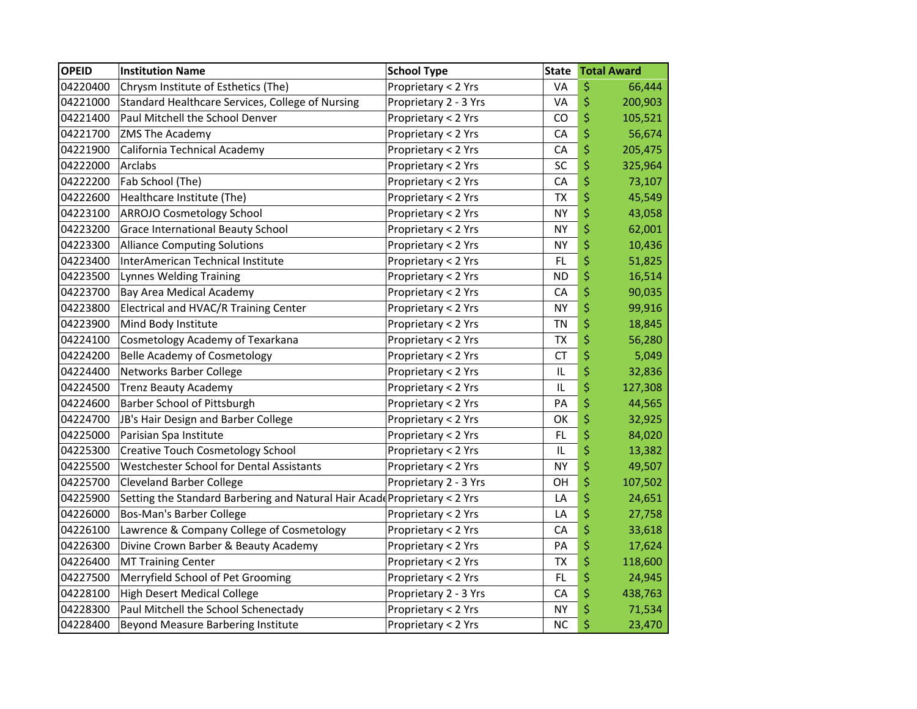| <b>OPEID</b> | <b>Institution Name</b>                                                   | <b>School Type</b>    | <b>State</b> | <b>Total Award</b> |
|--------------|---------------------------------------------------------------------------|-----------------------|--------------|--------------------|
| 04220400     | Chrysm Institute of Esthetics (The)                                       | Proprietary < 2 Yrs   | VA           | \$<br>66,444       |
| 04221000     | Standard Healthcare Services, College of Nursing                          | Proprietary 2 - 3 Yrs | VA           | \$<br>200,903      |
| 04221400     | Paul Mitchell the School Denver                                           | Proprietary < 2 Yrs   | CO           | \$<br>105,521      |
| 04221700     | <b>ZMS The Academy</b>                                                    | Proprietary < 2 Yrs   | CA           | \$<br>56,674       |
| 04221900     | California Technical Academy                                              | Proprietary < 2 Yrs   | CA           | \$<br>205,475      |
| 04222000     | Arclabs                                                                   | Proprietary < 2 Yrs   | SC           | \$<br>325,964      |
| 04222200     | Fab School (The)                                                          | Proprietary < 2 Yrs   | CA           | \$<br>73,107       |
| 04222600     | Healthcare Institute (The)                                                | Proprietary < 2 Yrs   | <b>TX</b>    | \$<br>45,549       |
| 04223100     | <b>ARROJO Cosmetology School</b>                                          | Proprietary < 2 Yrs   | <b>NY</b>    | \$<br>43,058       |
| 04223200     | Grace International Beauty School                                         | Proprietary < 2 Yrs   | <b>NY</b>    | \$<br>62,001       |
| 04223300     | <b>Alliance Computing Solutions</b>                                       | Proprietary < 2 Yrs   | <b>NY</b>    | \$<br>10,436       |
| 04223400     | InterAmerican Technical Institute                                         | Proprietary < 2 Yrs   | FL           | \$<br>51,825       |
| 04223500     | <b>Lynnes Welding Training</b>                                            | Proprietary < 2 Yrs   | <b>ND</b>    | \$<br>16,514       |
| 04223700     | <b>Bay Area Medical Academy</b>                                           | Proprietary < 2 Yrs   | CA           | \$<br>90,035       |
| 04223800     | Electrical and HVAC/R Training Center                                     | Proprietary < 2 Yrs   | <b>NY</b>    | \$<br>99,916       |
| 04223900     | Mind Body Institute                                                       | Proprietary < 2 Yrs   | <b>TN</b>    | \$<br>18,845       |
| 04224100     | Cosmetology Academy of Texarkana                                          | Proprietary < 2 Yrs   | <b>TX</b>    | \$<br>56,280       |
| 04224200     | <b>Belle Academy of Cosmetology</b>                                       | Proprietary < 2 Yrs   | <b>CT</b>    | \$<br>5,049        |
| 04224400     | Networks Barber College                                                   | Proprietary < 2 Yrs   | IL           | \$<br>32,836       |
| 04224500     | <b>Trenz Beauty Academy</b>                                               | Proprietary < 2 Yrs   | IL           | \$<br>127,308      |
| 04224600     | Barber School of Pittsburgh                                               | Proprietary < 2 Yrs   | PA           | \$<br>44,565       |
| 04224700     | JB's Hair Design and Barber College                                       | Proprietary < 2 Yrs   | OK           | \$<br>32,925       |
| 04225000     | Parisian Spa Institute                                                    | Proprietary < 2 Yrs   | <b>FL</b>    | \$<br>84,020       |
| 04225300     | <b>Creative Touch Cosmetology School</b>                                  | Proprietary < 2 Yrs   | $\sf IL$     | \$<br>13,382       |
| 04225500     | Westchester School for Dental Assistants                                  | Proprietary < 2 Yrs   | <b>NY</b>    | \$<br>49,507       |
| 04225700     | <b>Cleveland Barber College</b>                                           | Proprietary 2 - 3 Yrs | OH           | \$<br>107,502      |
| 04225900     | Setting the Standard Barbering and Natural Hair Acade Proprietary < 2 Yrs |                       | LA           | \$<br>24,651       |
| 04226000     | Bos-Man's Barber College                                                  | Proprietary < 2 Yrs   | LA           | \$<br>27,758       |
| 04226100     | Lawrence & Company College of Cosmetology                                 | Proprietary < 2 Yrs   | CA           | \$<br>33,618       |
| 04226300     | Divine Crown Barber & Beauty Academy                                      | Proprietary < 2 Yrs   | PA           | \$<br>17,624       |
| 04226400     | <b>MT Training Center</b>                                                 | Proprietary < 2 Yrs   | <b>TX</b>    | \$<br>118,600      |
| 04227500     | Merryfield School of Pet Grooming                                         | Proprietary < 2 Yrs   | FL           | \$<br>24,945       |
| 04228100     | <b>High Desert Medical College</b>                                        | Proprietary 2 - 3 Yrs | CA           | \$<br>438,763      |
| 04228300     | Paul Mitchell the School Schenectady                                      | Proprietary < 2 Yrs   | <b>NY</b>    | \$<br>71,534       |
| 04228400     | <b>Beyond Measure Barbering Institute</b>                                 | Proprietary < 2 Yrs   | <b>NC</b>    | \$<br>23,470       |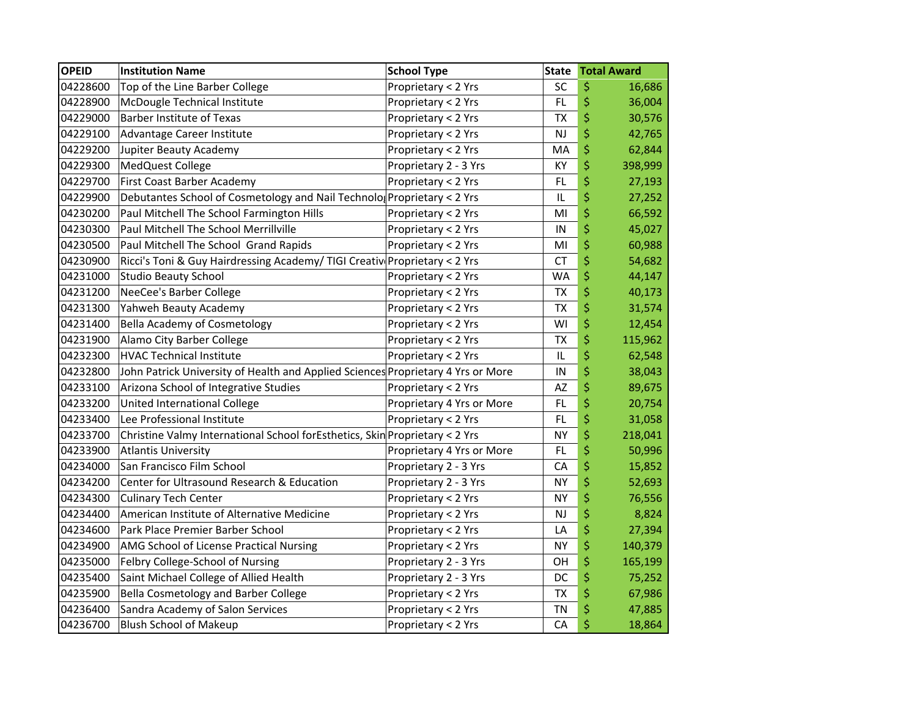| <b>OPEID</b> | <b>Institution Name</b>                                                          | <b>School Type</b>        | <b>State</b> | <b>Total Award</b> |
|--------------|----------------------------------------------------------------------------------|---------------------------|--------------|--------------------|
| 04228600     | Top of the Line Barber College                                                   | Proprietary < 2 Yrs       | SC           | \$<br>16,686       |
| 04228900     | McDougle Technical Institute                                                     | Proprietary < 2 Yrs       | FL           | \$<br>36,004       |
| 04229000     | <b>Barber Institute of Texas</b>                                                 | Proprietary < 2 Yrs       | <b>TX</b>    | \$<br>30,576       |
| 04229100     | Advantage Career Institute                                                       | Proprietary < 2 Yrs       | <b>NJ</b>    | \$<br>42,765       |
| 04229200     | Jupiter Beauty Academy                                                           | Proprietary < 2 Yrs       | MA           | \$<br>62,844       |
| 04229300     | MedQuest College                                                                 | Proprietary 2 - 3 Yrs     | KY           | \$<br>398,999      |
| 04229700     | First Coast Barber Academy                                                       | Proprietary < 2 Yrs       | FL           | \$<br>27,193       |
| 04229900     | Debutantes School of Cosmetology and Nail Technolo Proprietary < 2 Yrs           |                           | IL           | \$<br>27,252       |
| 04230200     | Paul Mitchell The School Farmington Hills                                        | Proprietary < 2 Yrs       | MI           | \$<br>66,592       |
| 04230300     | Paul Mitchell The School Merrillville                                            | Proprietary < 2 Yrs       | IN           | \$<br>45,027       |
| 04230500     | Paul Mitchell The School Grand Rapids                                            | Proprietary < 2 Yrs       | MI           | \$<br>60,988       |
| 04230900     | Ricci's Toni & Guy Hairdressing Academy/ TIGI Creativ Proprietary < 2 Yrs        |                           | <b>CT</b>    | \$<br>54,682       |
| 04231000     | <b>Studio Beauty School</b>                                                      | Proprietary < 2 Yrs       | <b>WA</b>    | \$<br>44,147       |
| 04231200     | NeeCee's Barber College                                                          | Proprietary < 2 Yrs       | ТX           | \$<br>40,173       |
| 04231300     | Yahweh Beauty Academy                                                            | Proprietary < 2 Yrs       | <b>TX</b>    | \$<br>31,574       |
| 04231400     | Bella Academy of Cosmetology                                                     | Proprietary < 2 Yrs       | WI           | \$<br>12,454       |
| 04231900     | Alamo City Barber College                                                        | Proprietary < 2 Yrs       | <b>TX</b>    | \$<br>115,962      |
| 04232300     | <b>HVAC Technical Institute</b>                                                  | Proprietary < 2 Yrs       | IL           | \$<br>62,548       |
| 04232800     | John Patrick University of Health and Applied Sciences Proprietary 4 Yrs or More |                           | IN           | \$<br>38,043       |
| 04233100     | Arizona School of Integrative Studies                                            | Proprietary < 2 Yrs       | AZ           | \$<br>89,675       |
| 04233200     | United International College                                                     | Proprietary 4 Yrs or More | FL           | \$<br>20,754       |
| 04233400     | Lee Professional Institute                                                       | Proprietary < 2 Yrs       | <b>FL</b>    | \$<br>31,058       |
| 04233700     | Christine Valmy International School forEsthetics, Skin Proprietary < 2 Yrs      |                           | <b>NY</b>    | \$<br>218,041      |
| 04233900     | <b>Atlantis University</b>                                                       | Proprietary 4 Yrs or More | FL           | \$<br>50,996       |
| 04234000     | San Francisco Film School                                                        | Proprietary 2 - 3 Yrs     | CA           | \$<br>15,852       |
| 04234200     | Center for Ultrasound Research & Education                                       | Proprietary 2 - 3 Yrs     | <b>NY</b>    | \$<br>52,693       |
| 04234300     | <b>Culinary Tech Center</b>                                                      | Proprietary < 2 Yrs       | <b>NY</b>    | \$<br>76,556       |
| 04234400     | American Institute of Alternative Medicine                                       | Proprietary < 2 Yrs       | <b>NJ</b>    | \$<br>8,824        |
| 04234600     | Park Place Premier Barber School                                                 | Proprietary < 2 Yrs       | LA           | \$<br>27,394       |
| 04234900     | AMG School of License Practical Nursing                                          | Proprietary < 2 Yrs       | <b>NY</b>    | \$<br>140,379      |
| 04235000     | Felbry College-School of Nursing                                                 | Proprietary 2 - 3 Yrs     | OH           | \$<br>165,199      |
| 04235400     | Saint Michael College of Allied Health                                           | Proprietary 2 - 3 Yrs     | DC           | \$<br>75,252       |
| 04235900     | Bella Cosmetology and Barber College                                             | Proprietary < 2 Yrs       | <b>TX</b>    | \$<br>67,986       |
| 04236400     | Sandra Academy of Salon Services                                                 | Proprietary < 2 Yrs       | <b>TN</b>    | \$<br>47,885       |
| 04236700     | <b>Blush School of Makeup</b>                                                    | Proprietary < 2 Yrs       | CA           | \$<br>18,864       |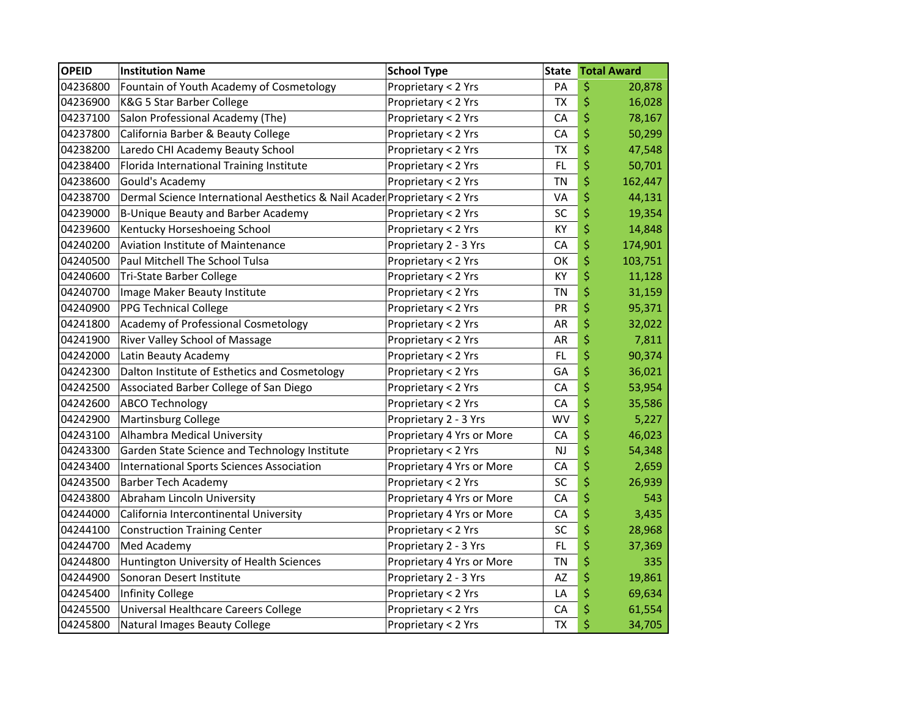| <b>OPEID</b> | <b>Institution Name</b>                                                   | <b>School Type</b>        | <b>State</b> | <b>Total Award</b> |
|--------------|---------------------------------------------------------------------------|---------------------------|--------------|--------------------|
| 04236800     | Fountain of Youth Academy of Cosmetology                                  | Proprietary < 2 Yrs       | PA           | \$<br>20,878       |
| 04236900     | K&G 5 Star Barber College                                                 | Proprietary < 2 Yrs       | <b>TX</b>    | \$<br>16,028       |
| 04237100     | Salon Professional Academy (The)                                          | Proprietary < 2 Yrs       | CA           | \$<br>78,167       |
| 04237800     | California Barber & Beauty College                                        | Proprietary < 2 Yrs       | CA           | \$<br>50,299       |
| 04238200     | Laredo CHI Academy Beauty School                                          | Proprietary < 2 Yrs       | <b>TX</b>    | \$<br>47,548       |
| 04238400     | Florida International Training Institute                                  | Proprietary < 2 Yrs       | FL           | \$<br>50,701       |
| 04238600     | Gould's Academy                                                           | Proprietary < 2 Yrs       | <b>TN</b>    | \$<br>162,447      |
| 04238700     | Dermal Science International Aesthetics & Nail Acader Proprietary < 2 Yrs |                           | VA           | \$<br>44,131       |
| 04239000     | <b>B-Unique Beauty and Barber Academy</b>                                 | Proprietary < 2 Yrs       | SC           | \$<br>19,354       |
| 04239600     | Kentucky Horseshoeing School                                              | Proprietary < 2 Yrs       | КY           | \$<br>14,848       |
| 04240200     | Aviation Institute of Maintenance                                         | Proprietary 2 - 3 Yrs     | CA           | \$<br>174,901      |
| 04240500     | Paul Mitchell The School Tulsa                                            | Proprietary < 2 Yrs       | OK           | \$<br>103,751      |
| 04240600     | Tri-State Barber College                                                  | Proprietary < 2 Yrs       | KY           | \$<br>11,128       |
| 04240700     | Image Maker Beauty Institute                                              | Proprietary < 2 Yrs       | <b>TN</b>    | \$<br>31,159       |
| 04240900     | <b>PPG Technical College</b>                                              | Proprietary < 2 Yrs       | PR           | \$<br>95,371       |
| 04241800     | Academy of Professional Cosmetology                                       | Proprietary < 2 Yrs       | AR           | \$<br>32,022       |
| 04241900     | River Valley School of Massage                                            | Proprietary < 2 Yrs       | AR           | \$<br>7,811        |
| 04242000     | Latin Beauty Academy                                                      | Proprietary < 2 Yrs       | FL           | \$<br>90,374       |
| 04242300     | Dalton Institute of Esthetics and Cosmetology                             | Proprietary < 2 Yrs       | GA           | \$<br>36,021       |
| 04242500     | Associated Barber College of San Diego                                    | Proprietary < 2 Yrs       | CA           | \$<br>53,954       |
| 04242600     | <b>ABCO Technology</b>                                                    | Proprietary < 2 Yrs       | CA           | \$<br>35,586       |
| 04242900     | <b>Martinsburg College</b>                                                | Proprietary 2 - 3 Yrs     | WV           | \$<br>5,227        |
| 04243100     | Alhambra Medical University                                               | Proprietary 4 Yrs or More | CA           | \$<br>46,023       |
| 04243300     | Garden State Science and Technology Institute                             | Proprietary < 2 Yrs       | NJ           | \$<br>54,348       |
| 04243400     | <b>International Sports Sciences Association</b>                          | Proprietary 4 Yrs or More | CA           | \$<br>2,659        |
| 04243500     | <b>Barber Tech Academy</b>                                                | Proprietary < 2 Yrs       | SC           | \$<br>26,939       |
| 04243800     | Abraham Lincoln University                                                | Proprietary 4 Yrs or More | CA           | \$<br>543          |
| 04244000     | California Intercontinental University                                    | Proprietary 4 Yrs or More | CA           | \$<br>3,435        |
| 04244100     | <b>Construction Training Center</b>                                       | Proprietary < 2 Yrs       | SC           | \$<br>28,968       |
| 04244700     | Med Academy                                                               | Proprietary 2 - 3 Yrs     | FL           | \$<br>37,369       |
| 04244800     | Huntington University of Health Sciences                                  | Proprietary 4 Yrs or More | <b>TN</b>    | \$<br>335          |
| 04244900     | Sonoran Desert Institute                                                  | Proprietary 2 - 3 Yrs     | AZ           | \$<br>19,861       |
| 04245400     | <b>Infinity College</b>                                                   | Proprietary < 2 Yrs       | LA           | \$<br>69,634       |
| 04245500     | Universal Healthcare Careers College                                      | Proprietary < 2 Yrs       | CA           | \$<br>61,554       |
| 04245800     | <b>Natural Images Beauty College</b>                                      | Proprietary < 2 Yrs       | <b>TX</b>    | \$<br>34,705       |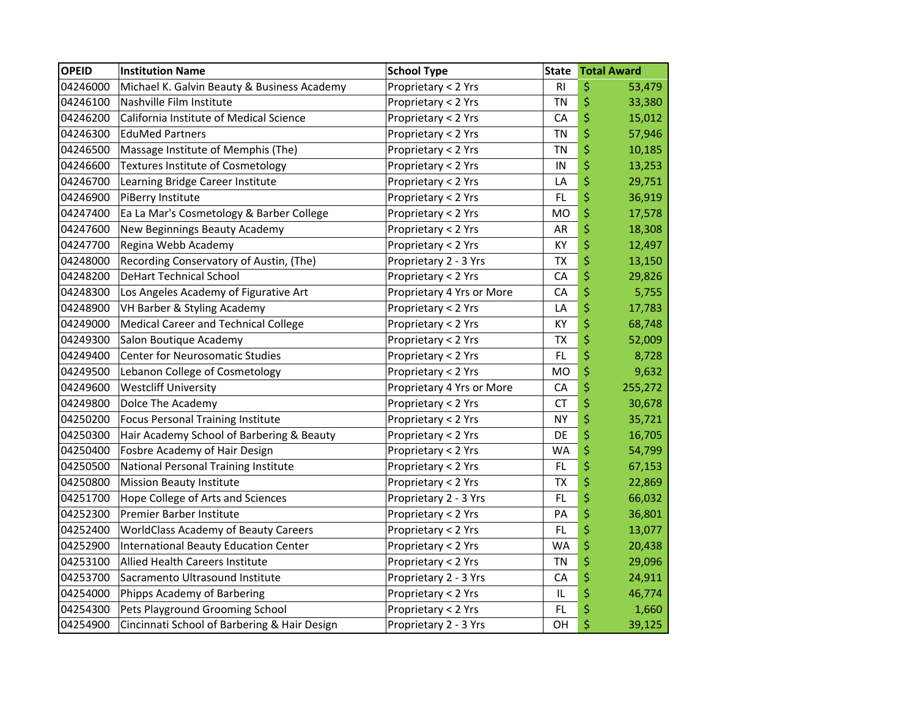| <b>OPEID</b> | <b>Institution Name</b>                      | <b>School Type</b>        | <b>State</b>   | <b>Total Award</b> |
|--------------|----------------------------------------------|---------------------------|----------------|--------------------|
| 04246000     | Michael K. Galvin Beauty & Business Academy  | Proprietary < 2 Yrs       | R <sub>l</sub> | \$<br>53,479       |
| 04246100     | Nashville Film Institute                     | Proprietary < 2 Yrs       | ΤN             | \$<br>33,380       |
| 04246200     | California Institute of Medical Science      | Proprietary < 2 Yrs       | CA             | \$<br>15,012       |
| 04246300     | <b>EduMed Partners</b>                       | Proprietary < 2 Yrs       | <b>TN</b>      | \$<br>57,946       |
| 04246500     | Massage Institute of Memphis (The)           | Proprietary < 2 Yrs       | ΤN             | \$<br>10,185       |
| 04246600     | <b>Textures Institute of Cosmetology</b>     | Proprietary < 2 Yrs       | IN             | \$<br>13,253       |
| 04246700     | Learning Bridge Career Institute             | Proprietary < 2 Yrs       | LA             | \$<br>29,751       |
| 04246900     | PiBerry Institute                            | Proprietary < 2 Yrs       | FL             | \$<br>36,919       |
| 04247400     | Ea La Mar's Cosmetology & Barber College     | Proprietary < 2 Yrs       | MO             | \$<br>17,578       |
| 04247600     | New Beginnings Beauty Academy                | Proprietary < 2 Yrs       | AR             | \$<br>18,308       |
| 04247700     | Regina Webb Academy                          | Proprietary < 2 Yrs       | KY             | \$<br>12,497       |
| 04248000     | Recording Conservatory of Austin, (The)      | Proprietary 2 - 3 Yrs     | <b>TX</b>      | \$<br>13,150       |
| 04248200     | <b>DeHart Technical School</b>               | Proprietary < 2 Yrs       | CA             | \$<br>29,826       |
| 04248300     | Los Angeles Academy of Figurative Art        | Proprietary 4 Yrs or More | CA             | \$<br>5,755        |
| 04248900     | VH Barber & Styling Academy                  | Proprietary < 2 Yrs       | LA             | \$<br>17,783       |
| 04249000     | Medical Career and Technical College         | Proprietary < 2 Yrs       | KY             | \$<br>68,748       |
| 04249300     | Salon Boutique Academy                       | Proprietary < 2 Yrs       | <b>TX</b>      | \$<br>52,009       |
| 04249400     | <b>Center for Neurosomatic Studies</b>       | Proprietary < 2 Yrs       | FL             | \$<br>8,728        |
| 04249500     | Lebanon College of Cosmetology               | Proprietary < 2 Yrs       | MO             | \$<br>9,632        |
| 04249600     | <b>Westcliff University</b>                  | Proprietary 4 Yrs or More | CA             | \$<br>255,272      |
| 04249800     | Dolce The Academy                            | Proprietary < 2 Yrs       | СT             | \$<br>30,678       |
| 04250200     | Focus Personal Training Institute            | Proprietary < 2 Yrs       | ΝY             | \$<br>35,721       |
| 04250300     | Hair Academy School of Barbering & Beauty    | Proprietary < 2 Yrs       | DE             | \$<br>16,705       |
| 04250400     | Fosbre Academy of Hair Design                | Proprietary < 2 Yrs       | <b>WA</b>      | \$<br>54,799       |
| 04250500     | National Personal Training Institute         | Proprietary < 2 Yrs       | FL             | \$<br>67,153       |
| 04250800     | <b>Mission Beauty Institute</b>              | Proprietary < 2 Yrs       | <b>TX</b>      | \$<br>22,869       |
| 04251700     | Hope College of Arts and Sciences            | Proprietary 2 - 3 Yrs     | FL             | \$<br>66,032       |
| 04252300     | Premier Barber Institute                     | Proprietary < 2 Yrs       | PA             | \$<br>36,801       |
| 04252400     | <b>WorldClass Academy of Beauty Careers</b>  | Proprietary < 2 Yrs       | FL             | \$<br>13,077       |
| 04252900     | International Beauty Education Center        | Proprietary < 2 Yrs       | <b>WA</b>      | \$<br>20,438       |
| 04253100     | Allied Health Careers Institute              | Proprietary < 2 Yrs       | ΤN             | \$<br>29,096       |
| 04253700     | Sacramento Ultrasound Institute              | Proprietary 2 - 3 Yrs     | CA             | \$<br>24,911       |
| 04254000     | Phipps Academy of Barbering                  | Proprietary < 2 Yrs       | IL             | \$<br>46,774       |
| 04254300     | Pets Playground Grooming School              | Proprietary < 2 Yrs       | <b>FL</b>      | \$<br>1,660        |
| 04254900     | Cincinnati School of Barbering & Hair Design | Proprietary 2 - 3 Yrs     | OH             | \$<br>39,125       |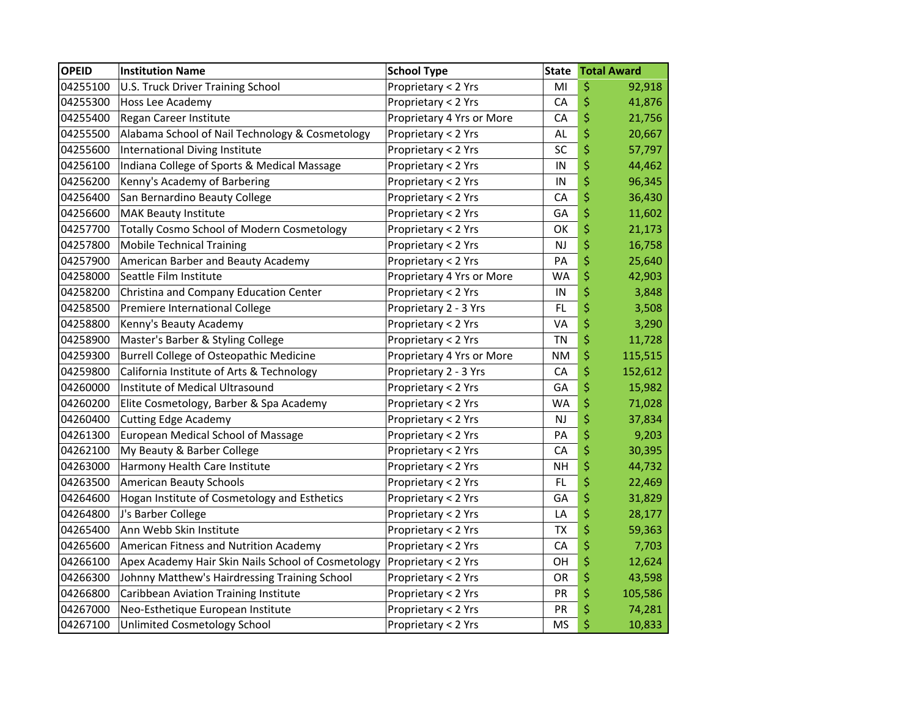| <b>OPEID</b> | <b>Institution Name</b>                            | <b>School Type</b>        | <b>State</b> | <b>Total Award</b> |
|--------------|----------------------------------------------------|---------------------------|--------------|--------------------|
| 04255100     | U.S. Truck Driver Training School                  | Proprietary < 2 Yrs       | MI           | \$<br>92,918       |
| 04255300     | Hoss Lee Academy                                   | Proprietary < 2 Yrs       | CA           | \$<br>41,876       |
| 04255400     | Regan Career Institute                             | Proprietary 4 Yrs or More | CA           | \$<br>21,756       |
| 04255500     | Alabama School of Nail Technology & Cosmetology    | Proprietary < 2 Yrs       | <b>AL</b>    | \$<br>20,667       |
| 04255600     | International Diving Institute                     | Proprietary < 2 Yrs       | SC           | \$<br>57,797       |
| 04256100     | Indiana College of Sports & Medical Massage        | Proprietary < 2 Yrs       | IN           | \$<br>44,462       |
| 04256200     | Kenny's Academy of Barbering                       | Proprietary < 2 Yrs       | IN           | \$<br>96,345       |
| 04256400     | San Bernardino Beauty College                      | Proprietary < 2 Yrs       | CA           | \$<br>36,430       |
| 04256600     | <b>MAK Beauty Institute</b>                        | Proprietary < 2 Yrs       | GA           | \$<br>11,602       |
| 04257700     | <b>Totally Cosmo School of Modern Cosmetology</b>  | Proprietary < 2 Yrs       | OK           | \$<br>21,173       |
| 04257800     | <b>Mobile Technical Training</b>                   | Proprietary < 2 Yrs       | <b>NJ</b>    | \$<br>16,758       |
| 04257900     | American Barber and Beauty Academy                 | Proprietary < 2 Yrs       | PA           | \$<br>25,640       |
| 04258000     | Seattle Film Institute                             | Proprietary 4 Yrs or More | <b>WA</b>    | \$<br>42,903       |
| 04258200     | Christina and Company Education Center             | Proprietary < 2 Yrs       | IN           | \$<br>3,848        |
| 04258500     | Premiere International College                     | Proprietary 2 - 3 Yrs     | FL.          | \$<br>3,508        |
| 04258800     | Kenny's Beauty Academy                             | Proprietary < 2 Yrs       | VA           | \$<br>3,290        |
| 04258900     | Master's Barber & Styling College                  | Proprietary < 2 Yrs       | <b>TN</b>    | \$<br>11,728       |
| 04259300     | <b>Burrell College of Osteopathic Medicine</b>     | Proprietary 4 Yrs or More | <b>NM</b>    | \$<br>115,515      |
| 04259800     | California Institute of Arts & Technology          | Proprietary 2 - 3 Yrs     | CA           | \$<br>152,612      |
| 04260000     | Institute of Medical Ultrasound                    | Proprietary < 2 Yrs       | GA           | \$<br>15,982       |
| 04260200     | Elite Cosmetology, Barber & Spa Academy            | Proprietary < 2 Yrs       | <b>WA</b>    | \$<br>71,028       |
| 04260400     | <b>Cutting Edge Academy</b>                        | Proprietary < 2 Yrs       | <b>NJ</b>    | \$<br>37,834       |
| 04261300     | European Medical School of Massage                 | Proprietary < 2 Yrs       | PA           | \$<br>9,203        |
| 04262100     | My Beauty & Barber College                         | Proprietary < 2 Yrs       | CA           | \$<br>30,395       |
| 04263000     | Harmony Health Care Institute                      | Proprietary < 2 Yrs       | <b>NH</b>    | \$<br>44,732       |
| 04263500     | <b>American Beauty Schools</b>                     | Proprietary < 2 Yrs       | FL           | \$<br>22,469       |
| 04264600     | Hogan Institute of Cosmetology and Esthetics       | Proprietary < 2 Yrs       | GA           | \$<br>31,829       |
| 04264800     | J's Barber College                                 | Proprietary < 2 Yrs       | LA           | \$<br>28,177       |
| 04265400     | Ann Webb Skin Institute                            | Proprietary < 2 Yrs       | ТX           | \$<br>59,363       |
| 04265600     | American Fitness and Nutrition Academy             | Proprietary < 2 Yrs       | CA           | \$<br>7,703        |
| 04266100     | Apex Academy Hair Skin Nails School of Cosmetology | Proprietary < 2 Yrs       | OH           | \$<br>12,624       |
| 04266300     | Johnny Matthew's Hairdressing Training School      | Proprietary < 2 Yrs       | OR           | \$<br>43,598       |
| 04266800     | Caribbean Aviation Training Institute              | Proprietary < 2 Yrs       | PR           | \$<br>105,586      |
| 04267000     | Neo-Esthetique European Institute                  | Proprietary < 2 Yrs       | <b>PR</b>    | \$<br>74,281       |
| 04267100     | Unlimited Cosmetology School                       | Proprietary < 2 Yrs       | <b>MS</b>    | \$<br>10,833       |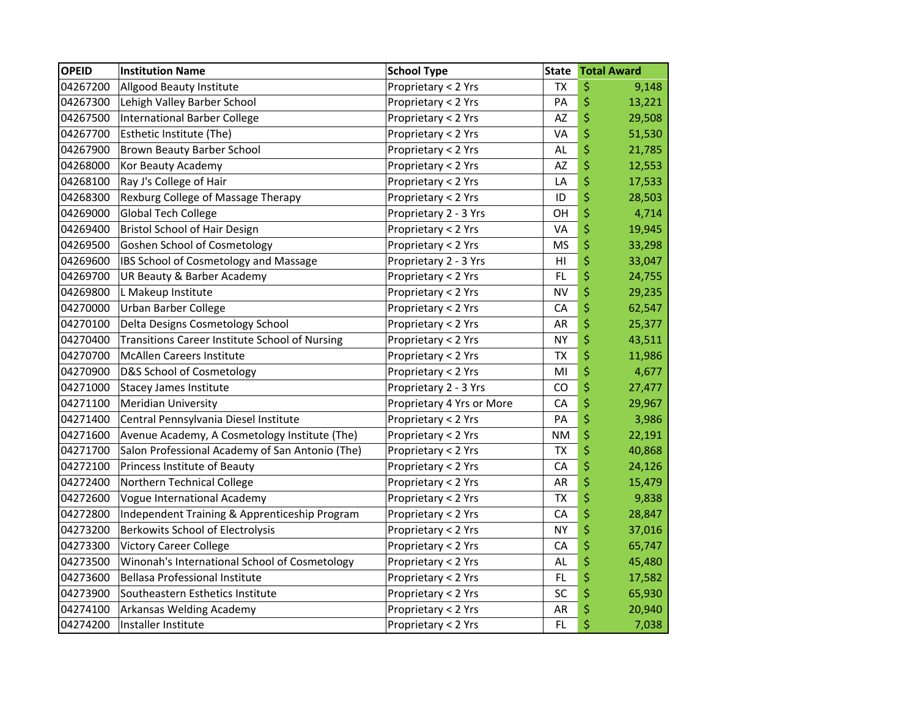| <b>OPEID</b> | <b>Institution Name</b>                         | <b>School Type</b>        | <b>State</b> | <b>Total Award</b> |
|--------------|-------------------------------------------------|---------------------------|--------------|--------------------|
| 04267200     | Allgood Beauty Institute                        | Proprietary < 2 Yrs       | <b>TX</b>    | \$<br>9,148        |
| 04267300     | Lehigh Valley Barber School                     | Proprietary < 2 Yrs       | PA           | \$<br>13,221       |
| 04267500     | International Barber College                    | Proprietary < 2 Yrs       | AZ           | \$<br>29,508       |
| 04267700     | Esthetic Institute (The)                        | Proprietary < 2 Yrs       | VA           | \$<br>51,530       |
| 04267900     | Brown Beauty Barber School                      | Proprietary < 2 Yrs       | AL           | \$<br>21,785       |
| 04268000     | Kor Beauty Academy                              | Proprietary < 2 Yrs       | <b>AZ</b>    | \$<br>12,553       |
| 04268100     | Ray J's College of Hair                         | Proprietary < 2 Yrs       | LA           | \$<br>17,533       |
| 04268300     | Rexburg College of Massage Therapy              | Proprietary < 2 Yrs       | ID           | \$<br>28,503       |
| 04269000     | Global Tech College                             | Proprietary 2 - 3 Yrs     | OH           | \$<br>4,714        |
| 04269400     | <b>Bristol School of Hair Design</b>            | Proprietary < 2 Yrs       | VA           | \$<br>19,945       |
| 04269500     | <b>Goshen School of Cosmetology</b>             | Proprietary < 2 Yrs       | MS           | \$<br>33,298       |
| 04269600     | IBS School of Cosmetology and Massage           | Proprietary 2 - 3 Yrs     | HI           | \$<br>33,047       |
| 04269700     | UR Beauty & Barber Academy                      | Proprietary < 2 Yrs       | <b>FL</b>    | \$<br>24,755       |
| 04269800     | L Makeup Institute                              | Proprietary < 2 Yrs       | <b>NV</b>    | \$<br>29,235       |
| 04270000     | <b>Urban Barber College</b>                     | Proprietary < 2 Yrs       | CA           | \$<br>62,547       |
| 04270100     | Delta Designs Cosmetology School                | Proprietary < 2 Yrs       | AR           | \$<br>25,377       |
| 04270400     | Transitions Career Institute School of Nursing  | Proprietary < 2 Yrs       | <b>NY</b>    | \$<br>43,511       |
| 04270700     | <b>McAllen Careers Institute</b>                | Proprietary < 2 Yrs       | <b>ΤΧ</b>    | \$<br>11,986       |
| 04270900     | D&S School of Cosmetology                       | Proprietary < 2 Yrs       | MI           | \$<br>4,677        |
| 04271000     | <b>Stacey James Institute</b>                   | Proprietary 2 - 3 Yrs     | CO           | \$<br>27,477       |
| 04271100     | <b>Meridian University</b>                      | Proprietary 4 Yrs or More | CA           | \$<br>29,967       |
| 04271400     | Central Pennsylvania Diesel Institute           | Proprietary < 2 Yrs       | PA           | \$<br>3,986        |
| 04271600     | Avenue Academy, A Cosmetology Institute (The)   | Proprietary < 2 Yrs       | <b>NM</b>    | \$<br>22,191       |
| 04271700     | Salon Professional Academy of San Antonio (The) | Proprietary < 2 Yrs       | <b>TX</b>    | \$<br>40,868       |
| 04272100     | Princess Institute of Beauty                    | Proprietary < 2 Yrs       | CA           | \$<br>24,126       |
| 04272400     | Northern Technical College                      | Proprietary < 2 Yrs       | <b>AR</b>    | \$<br>15,479       |
| 04272600     | Vogue International Academy                     | Proprietary < 2 Yrs       | <b>TX</b>    | \$<br>9,838        |
| 04272800     | Independent Training & Apprenticeship Program   | Proprietary < 2 Yrs       | CA           | \$<br>28,847       |
| 04273200     | <b>Berkowits School of Electrolysis</b>         | Proprietary < 2 Yrs       | <b>NY</b>    | \$<br>37,016       |
| 04273300     | <b>Victory Career College</b>                   | Proprietary < 2 Yrs       | CA           | \$<br>65,747       |
| 04273500     | Winonah's International School of Cosmetology   | Proprietary < 2 Yrs       | AL           | \$<br>45,480       |
| 04273600     | <b>Bellasa Professional Institute</b>           | Proprietary < 2 Yrs       | FL.          | \$<br>17,582       |
| 04273900     | Southeastern Esthetics Institute                | Proprietary < 2 Yrs       | SC           | \$<br>65,930       |
| 04274100     | Arkansas Welding Academy                        | Proprietary < 2 Yrs       | AR           | \$<br>20,940       |
| 04274200     | Installer Institute                             | Proprietary < 2 Yrs       | FL.          | \$<br>7,038        |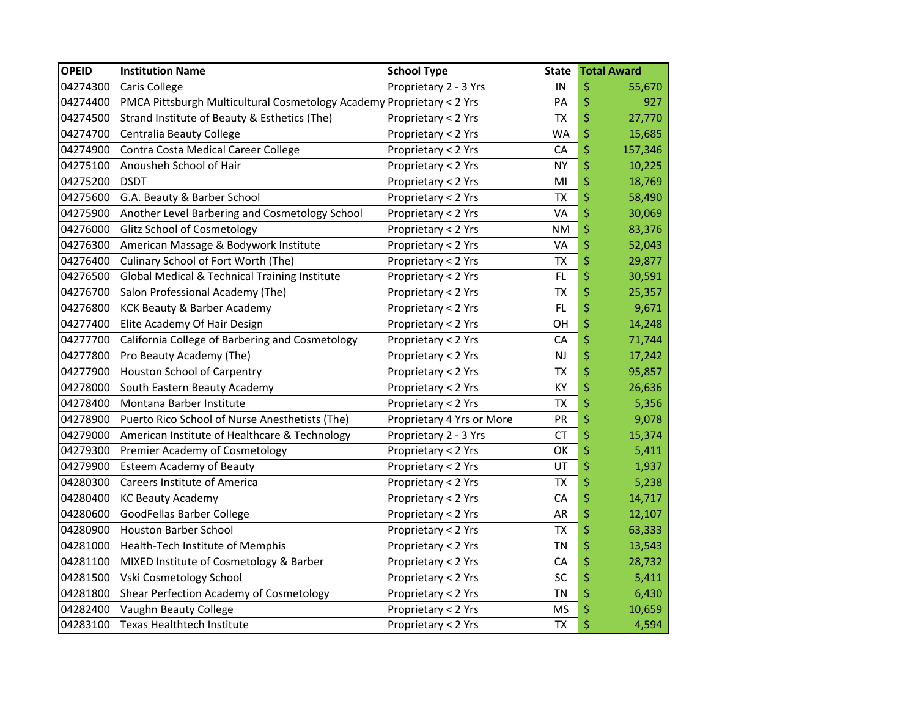| <b>OPEID</b> | <b>Institution Name</b>                                               | <b>School Type</b>        | <b>State</b> | <b>Total Award</b> |
|--------------|-----------------------------------------------------------------------|---------------------------|--------------|--------------------|
| 04274300     | <b>Caris College</b>                                                  | Proprietary 2 - 3 Yrs     | IN           | \$<br>55,670       |
| 04274400     | PMCA Pittsburgh Multicultural Cosmetology Academy Proprietary < 2 Yrs |                           | PA           | \$<br>927          |
| 04274500     | Strand Institute of Beauty & Esthetics (The)                          | Proprietary < 2 Yrs       | <b>TX</b>    | \$<br>27,770       |
| 04274700     | Centralia Beauty College                                              | Proprietary < 2 Yrs       | <b>WA</b>    | \$<br>15,685       |
| 04274900     | Contra Costa Medical Career College                                   | Proprietary < 2 Yrs       | CA           | \$<br>157,346      |
| 04275100     | Anousheh School of Hair                                               | Proprietary < 2 Yrs       | <b>NY</b>    | \$<br>10,225       |
| 04275200     | <b>DSDT</b>                                                           | Proprietary < 2 Yrs       | MI           | \$<br>18,769       |
| 04275600     | G.A. Beauty & Barber School                                           | Proprietary < 2 Yrs       | <b>TX</b>    | \$<br>58,490       |
| 04275900     | Another Level Barbering and Cosmetology School                        | Proprietary < 2 Yrs       | VA           | \$<br>30,069       |
| 04276000     | <b>Glitz School of Cosmetology</b>                                    | Proprietary < 2 Yrs       | <b>NM</b>    | \$<br>83,376       |
| 04276300     | American Massage & Bodywork Institute                                 | Proprietary < 2 Yrs       | VA           | \$<br>52,043       |
| 04276400     | Culinary School of Fort Worth (The)                                   | Proprietary < 2 Yrs       | TX           | \$<br>29,877       |
| 04276500     | Global Medical & Technical Training Institute                         | Proprietary < 2 Yrs       | FL           | \$<br>30,591       |
| 04276700     | Salon Professional Academy (The)                                      | Proprietary < 2 Yrs       | <b>TX</b>    | \$<br>25,357       |
| 04276800     | <b>KCK Beauty &amp; Barber Academy</b>                                | Proprietary < 2 Yrs       | <b>FL</b>    | \$<br>9,671        |
| 04277400     | Elite Academy Of Hair Design                                          | Proprietary < 2 Yrs       | OH           | \$<br>14,248       |
| 04277700     | California College of Barbering and Cosmetology                       | Proprietary < 2 Yrs       | CA           | \$<br>71,744       |
| 04277800     | Pro Beauty Academy (The)                                              | Proprietary < 2 Yrs       | <b>NJ</b>    | \$<br>17,242       |
| 04277900     | Houston School of Carpentry                                           | Proprietary < 2 Yrs       | <b>TX</b>    | \$<br>95,857       |
| 04278000     | South Eastern Beauty Academy                                          | Proprietary < 2 Yrs       | KY           | \$<br>26,636       |
| 04278400     | Montana Barber Institute                                              | Proprietary < 2 Yrs       | <b>TX</b>    | \$<br>5,356        |
| 04278900     | Puerto Rico School of Nurse Anesthetists (The)                        | Proprietary 4 Yrs or More | PR           | \$<br>9,078        |
| 04279000     | American Institute of Healthcare & Technology                         | Proprietary 2 - 3 Yrs     | <b>CT</b>    | \$<br>15,374       |
| 04279300     | Premier Academy of Cosmetology                                        | Proprietary < 2 Yrs       | OK           | \$<br>5,411        |
| 04279900     | <b>Esteem Academy of Beauty</b>                                       | Proprietary < 2 Yrs       | UT           | \$<br>1,937        |
| 04280300     | <b>Careers Institute of America</b>                                   | Proprietary < 2 Yrs       | ТX           | \$<br>5,238        |
| 04280400     | <b>KC Beauty Academy</b>                                              | Proprietary < 2 Yrs       | CA           | \$<br>14,717       |
| 04280600     | GoodFellas Barber College                                             | Proprietary < 2 Yrs       | AR           | \$<br>12,107       |
| 04280900     | <b>Houston Barber School</b>                                          | Proprietary < 2 Yrs       | <b>TX</b>    | \$<br>63,333       |
| 04281000     | Health-Tech Institute of Memphis                                      | Proprietary < 2 Yrs       | <b>TN</b>    | \$<br>13,543       |
| 04281100     | MIXED Institute of Cosmetology & Barber                               | Proprietary < 2 Yrs       | CA           | \$<br>28,732       |
| 04281500     | Vski Cosmetology School                                               | Proprietary < 2 Yrs       | SC           | \$<br>5,411        |
| 04281800     | Shear Perfection Academy of Cosmetology                               | Proprietary < 2 Yrs       | <b>TN</b>    | \$<br>6,430        |
| 04282400     | Vaughn Beauty College                                                 | Proprietary < 2 Yrs       | <b>MS</b>    | \$<br>10,659       |
| 04283100     | Texas Healthtech Institute                                            | Proprietary < 2 Yrs       | <b>TX</b>    | \$<br>4,594        |